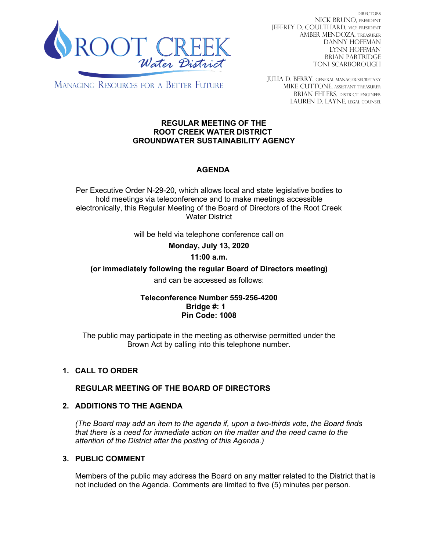

DIRECTORS NICK BRUNO, PRESIDENT JEFFREY D. COULTHARD, Vice President AMBER MENDOZA, TREASURER DANNY HOFFMAN LYNN HOFFMAN BRIAN PARTRIDGE TONI SCARBOROUGH

**MANAGING RESOURCES FOR A BETTER FUTURE** 

JULIA D. BERRY, GENERAL MANAGER/secretary MIKE CUTTONE, Assistant treasurer BRIAN EHLERS, DISTRICT ENGINEER LAUREN D. LAYNE, LEGAL COUNSEL

#### **REGULAR MEETING OF THE ROOT CREEK WATER DISTRICT GROUNDWATER SUSTAINABILITY AGENCY**

# **AGENDA**

Per Executive Order N-29-20, which allows local and state legislative bodies to hold meetings via teleconference and to make meetings accessible electronically, this Regular Meeting of the Board of Directors of the Root Creek Water District

will be held via telephone conference call on

**Monday, July 13, 2020** 

## **11:00 a.m.**

**(or immediately following the regular Board of Directors meeting)**

and can be accessed as follows:

## **Teleconference Number 559-256-4200 Bridge #: 1 Pin Code: 1008**

The public may participate in the meeting as otherwise permitted under the Brown Act by calling into this telephone number.

# **1. CALL TO ORDER**

## **REGULAR MEETING OF THE BOARD OF DIRECTORS**

## **2. ADDITIONS TO THE AGENDA**

*(The Board may add an item to the agenda if, upon a two-thirds vote, the Board finds that there is a need for immediate action on the matter and the need came to the attention of the District after the posting of this Agenda.)*

## **3. PUBLIC COMMENT**

Members of the public may address the Board on any matter related to the District that is not included on the Agenda. Comments are limited to five (5) minutes per person.